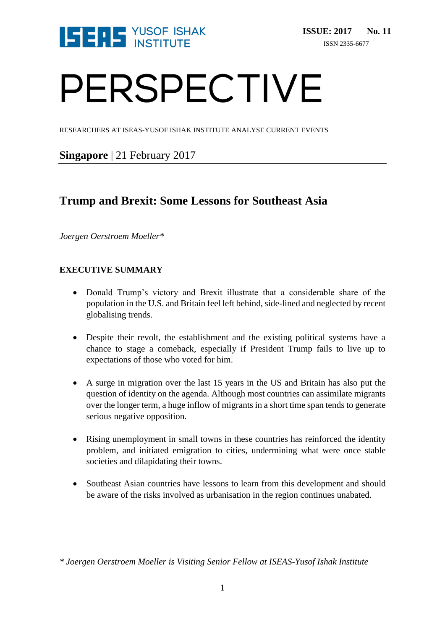

# PERSPECTIVE

RESEARCHERS AT ISEAS-YUSOF ISHAK INSTITUTE ANALYSE CURRENT EVENTS

**Singapore** | 21 February 2017

# **Trump and Brexit: Some Lessons for Southeast Asia**

*Joergen Oerstroem Moeller\**

# **EXECUTIVE SUMMARY**

- Donald Trump's victory and Brexit illustrate that a considerable share of the population in the U.S. and Britain feel left behind, side-lined and neglected by recent globalising trends.
- Despite their revolt, the establishment and the existing political systems have a chance to stage a comeback, especially if President Trump fails to live up to expectations of those who voted for him.
- A surge in migration over the last 15 years in the US and Britain has also put the question of identity on the agenda. Although most countries can assimilate migrants over the longer term, a huge inflow of migrants in a short time span tends to generate serious negative opposition.
- Rising unemployment in small towns in these countries has reinforced the identity problem, and initiated emigration to cities, undermining what were once stable societies and dilapidating their towns.
- Southeast Asian countries have lessons to learn from this development and should be aware of the risks involved as urbanisation in the region continues unabated.

*\* Joergen Oerstroem Moeller is Visiting Senior Fellow at ISEAS-Yusof Ishak Institute*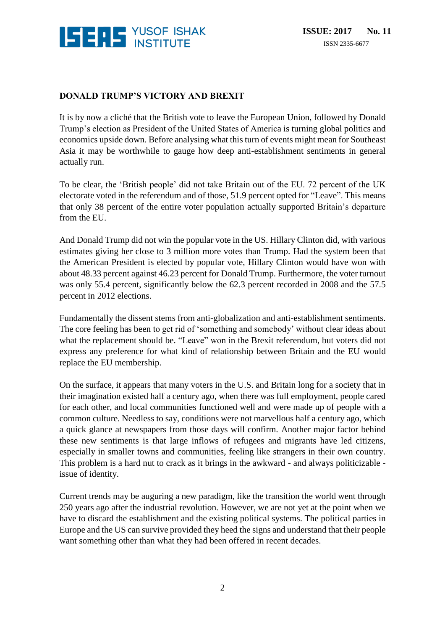

#### **DONALD TRUMP'S VICTORY AND BREXIT**

It is by now a cliché that the British vote to leave the European Union, followed by Donald Trump's election as President of the United States of America is turning global politics and economics upside down. Before analysing what this turn of events might mean for Southeast Asia it may be worthwhile to gauge how deep anti-establishment sentiments in general actually run.

To be clear, the 'British people' did not take Britain out of the EU. 72 percent of the UK electorate voted in the referendum and of those, 51.9 percent opted for "Leave". This means that only 38 percent of the entire voter population actually supported Britain's departure from the EU.

And Donald Trump did not win the popular vote in the US. Hillary Clinton did, with various estimates giving her close to 3 million more votes than Trump. Had the system been that the American President is elected by popular vote, Hillary Clinton would have won with about 48.33 percent against 46.23 percent for Donald Trump. Furthermore, the voter turnout was only 55.4 percent, significantly below the 62.3 percent recorded in 2008 and the 57.5 percent in 2012 elections.

Fundamentally the dissent stems from anti-globalization and anti-establishment sentiments. The core feeling has been to get rid of 'something and somebody' without clear ideas about what the replacement should be. "Leave" won in the Brexit referendum, but voters did not express any preference for what kind of relationship between Britain and the EU would replace the EU membership.

On the surface, it appears that many voters in the U.S. and Britain long for a society that in their imagination existed half a century ago, when there was full employment, people cared for each other, and local communities functioned well and were made up of people with a common culture. Needless to say, conditions were not marvellous half a century ago, which a quick glance at newspapers from those days will confirm. Another major factor behind these new sentiments is that large inflows of refugees and migrants have led citizens, especially in smaller towns and communities, feeling like strangers in their own country. This problem is a hard nut to crack as it brings in the awkward - and always politicizable issue of identity.

Current trends may be auguring a new paradigm, like the transition the world went through 250 years ago after the industrial revolution. However, we are not yet at the point when we have to discard the establishment and the existing political systems. The political parties in Europe and the US can survive provided they heed the signs and understand that their people want something other than what they had been offered in recent decades.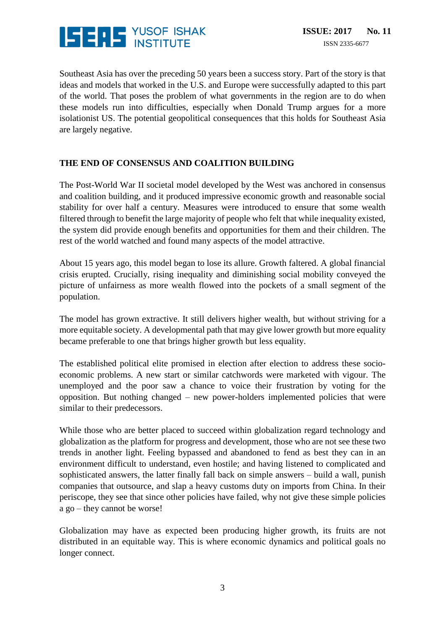

Southeast Asia has over the preceding 50 years been a success story. Part of the story is that ideas and models that worked in the U.S. and Europe were successfully adapted to this part of the world. That poses the problem of what governments in the region are to do when these models run into difficulties, especially when Donald Trump argues for a more isolationist US. The potential geopolitical consequences that this holds for Southeast Asia are largely negative.

#### **THE END OF CONSENSUS AND COALITION BUILDING**

The Post-World War II societal model developed by the West was anchored in consensus and coalition building, and it produced impressive economic growth and reasonable social stability for over half a century. Measures were introduced to ensure that some wealth filtered through to benefit the large majority of people who felt that while inequality existed, the system did provide enough benefits and opportunities for them and their children. The rest of the world watched and found many aspects of the model attractive.

About 15 years ago, this model began to lose its allure. Growth faltered. A global financial crisis erupted. Crucially, rising inequality and diminishing social mobility conveyed the picture of unfairness as more wealth flowed into the pockets of a small segment of the population.

The model has grown extractive. It still delivers higher wealth, but without striving for a more equitable society. A developmental path that may give lower growth but more equality became preferable to one that brings higher growth but less equality.

The established political elite promised in election after election to address these socioeconomic problems. A new start or similar catchwords were marketed with vigour. The unemployed and the poor saw a chance to voice their frustration by voting for the opposition. But nothing changed – new power-holders implemented policies that were similar to their predecessors.

While those who are better placed to succeed within globalization regard technology and globalization as the platform for progress and development, those who are not see these two trends in another light. Feeling bypassed and abandoned to fend as best they can in an environment difficult to understand, even hostile; and having listened to complicated and sophisticated answers, the latter finally fall back on simple answers – build a wall, punish companies that outsource, and slap a heavy customs duty on imports from China. In their periscope, they see that since other policies have failed, why not give these simple policies a go – they cannot be worse!

Globalization may have as expected been producing higher growth, its fruits are not distributed in an equitable way. This is where economic dynamics and political goals no longer connect.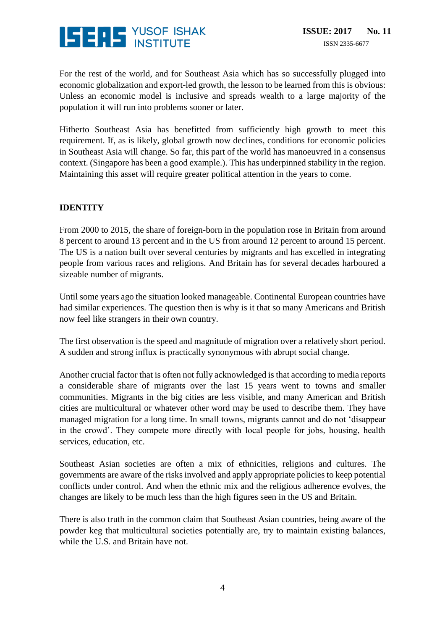

For the rest of the world, and for Southeast Asia which has so successfully plugged into economic globalization and export-led growth, the lesson to be learned from this is obvious: Unless an economic model is inclusive and spreads wealth to a large majority of the population it will run into problems sooner or later.

Hitherto Southeast Asia has benefitted from sufficiently high growth to meet this requirement. If, as is likely, global growth now declines, conditions for economic policies in Southeast Asia will change. So far, this part of the world has manoeuvred in a consensus context. (Singapore has been a good example.). This has underpinned stability in the region. Maintaining this asset will require greater political attention in the years to come.

# **IDENTITY**

From 2000 to 2015, the share of foreign-born in the population rose in Britain from around 8 percent to around 13 percent and in the US from around 12 percent to around 15 percent. The US is a nation built over several centuries by migrants and has excelled in integrating people from various races and religions. And Britain has for several decades harboured a sizeable number of migrants.

Until some years ago the situation looked manageable. Continental European countries have had similar experiences. The question then is why is it that so many Americans and British now feel like strangers in their own country.

The first observation is the speed and magnitude of migration over a relatively short period. A sudden and strong influx is practically synonymous with abrupt social change.

Another crucial factor that is often not fully acknowledged is that according to media reports a considerable share of migrants over the last 15 years went to towns and smaller communities. Migrants in the big cities are less visible, and many American and British cities are multicultural or whatever other word may be used to describe them. They have managed migration for a long time. In small towns, migrants cannot and do not 'disappear in the crowd'. They compete more directly with local people for jobs, housing, health services, education, etc.

Southeast Asian societies are often a mix of ethnicities, religions and cultures. The governments are aware of the risks involved and apply appropriate policies to keep potential conflicts under control. And when the ethnic mix and the religious adherence evolves, the changes are likely to be much less than the high figures seen in the US and Britain.

There is also truth in the common claim that Southeast Asian countries, being aware of the powder keg that multicultural societies potentially are, try to maintain existing balances, while the U.S. and Britain have not.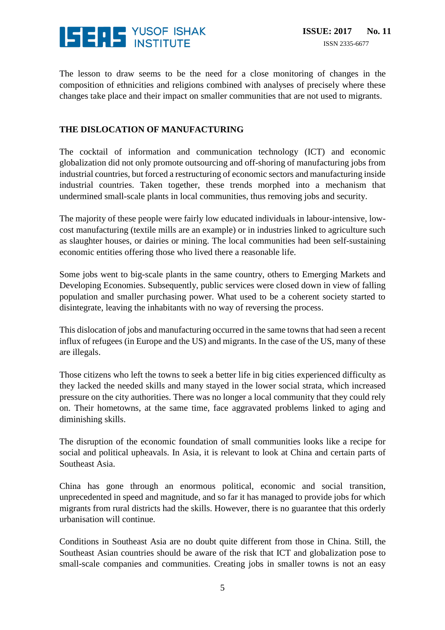

The lesson to draw seems to be the need for a close monitoring of changes in the composition of ethnicities and religions combined with analyses of precisely where these changes take place and their impact on smaller communities that are not used to migrants.

# **THE DISLOCATION OF MANUFACTURING**

The cocktail of information and communication technology (ICT) and economic globalization did not only promote outsourcing and off-shoring of manufacturing jobs from industrial countries, but forced a restructuring of economic sectors and manufacturing inside industrial countries. Taken together, these trends morphed into a mechanism that undermined small-scale plants in local communities, thus removing jobs and security.

The majority of these people were fairly low educated individuals in labour-intensive, lowcost manufacturing (textile mills are an example) or in industries linked to agriculture such as slaughter houses, or dairies or mining. The local communities had been self-sustaining economic entities offering those who lived there a reasonable life.

Some jobs went to big-scale plants in the same country, others to Emerging Markets and Developing Economies. Subsequently, public services were closed down in view of falling population and smaller purchasing power. What used to be a coherent society started to disintegrate, leaving the inhabitants with no way of reversing the process.

This dislocation of jobs and manufacturing occurred in the same towns that had seen a recent influx of refugees (in Europe and the US) and migrants. In the case of the US, many of these are illegals.

Those citizens who left the towns to seek a better life in big cities experienced difficulty as they lacked the needed skills and many stayed in the lower social strata, which increased pressure on the city authorities. There was no longer a local community that they could rely on. Their hometowns, at the same time, face aggravated problems linked to aging and diminishing skills.

The disruption of the economic foundation of small communities looks like a recipe for social and political upheavals. In Asia, it is relevant to look at China and certain parts of Southeast Asia.

China has gone through an enormous political, economic and social transition, unprecedented in speed and magnitude, and so far it has managed to provide jobs for which migrants from rural districts had the skills. However, there is no guarantee that this orderly urbanisation will continue.

Conditions in Southeast Asia are no doubt quite different from those in China. Still, the Southeast Asian countries should be aware of the risk that ICT and globalization pose to small-scale companies and communities. Creating jobs in smaller towns is not an easy